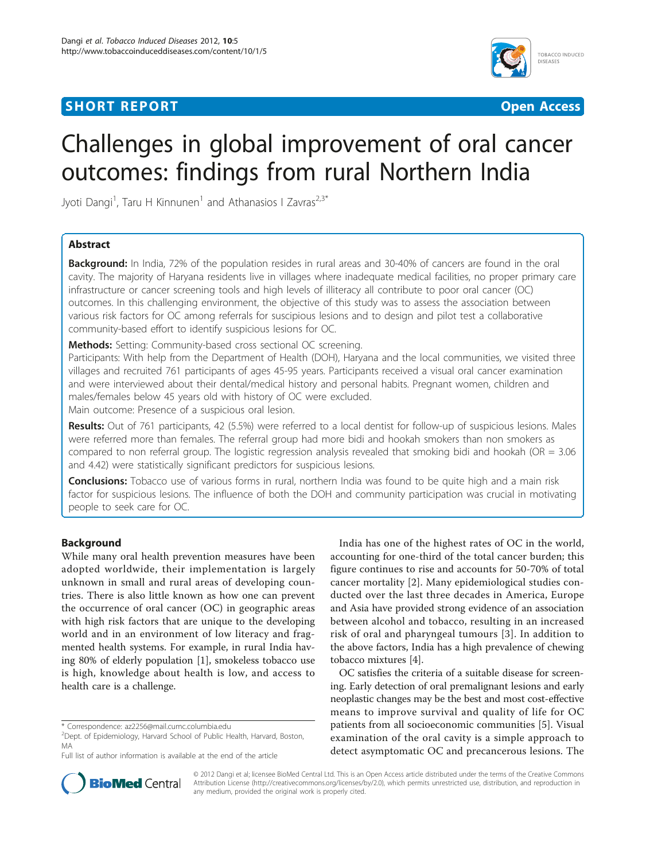# **SHORT REPORT CONSUMING THE CONSUMING OPEN ACCESS**



# Challenges in global improvement of oral cancer outcomes: findings from rural Northern India

Jyoti Dangi<sup>1</sup>, Taru H Kinnunen<sup>1</sup> and Athanasios I Zavras<sup>2,3\*</sup>

# Abstract

**Background:** In India, 72% of the population resides in rural areas and 30-40% of cancers are found in the oral cavity. The majority of Haryana residents live in villages where inadequate medical facilities, no proper primary care infrastructure or cancer screening tools and high levels of illiteracy all contribute to poor oral cancer (OC) outcomes. In this challenging environment, the objective of this study was to assess the association between various risk factors for OC among referrals for suscipious lesions and to design and pilot test a collaborative community-based effort to identify suspicious lesions for OC.

Methods: Setting: Community-based cross sectional OC screening.

Participants: With help from the Department of Health (DOH), Haryana and the local communities, we visited three villages and recruited 761 participants of ages 45-95 years. Participants received a visual oral cancer examination and were interviewed about their dental/medical history and personal habits. Pregnant women, children and males/females below 45 years old with history of OC were excluded.

Main outcome: Presence of a suspicious oral lesion.

Results: Out of 761 participants, 42 (5.5%) were referred to a local dentist for follow-up of suspicious lesions. Males were referred more than females. The referral group had more bidi and hookah smokers than non smokers as compared to non referral group. The logistic regression analysis revealed that smoking bidi and hookah (OR =  $3.06$ ) and 4.42) were statistically significant predictors for suspicious lesions.

**Conclusions:** Tobacco use of various forms in rural, northern India was found to be quite high and a main risk factor for suspicious lesions. The influence of both the DOH and community participation was crucial in motivating people to seek care for OC.

# Background

While many oral health prevention measures have been adopted worldwide, their implementation is largely unknown in small and rural areas of developing countries. There is also little known as how one can prevent the occurrence of oral cancer (OC) in geographic areas with high risk factors that are unique to the developing world and in an environment of low literacy and fragmented health systems. For example, in rural India having 80% of elderly population [[1\]](#page-3-0), smokeless tobacco use is high, knowledge about health is low, and access to health care is a challenge.

India has one of the highest rates of OC in the world, accounting for one-third of the total cancer burden; this figure continues to rise and accounts for 50-70% of total cancer mortality [\[2](#page-3-0)]. Many epidemiological studies conducted over the last three decades in America, Europe and Asia have provided strong evidence of an association between alcohol and tobacco, resulting in an increased risk of oral and pharyngeal tumours [[3\]](#page-3-0). In addition to the above factors, India has a high prevalence of chewing tobacco mixtures [[4](#page-3-0)].

OC satisfies the criteria of a suitable disease for screening. Early detection of oral premalignant lesions and early neoplastic changes may be the best and most cost-effective means to improve survival and quality of life for OC patients from all socioeconomic communities [[5\]](#page-3-0). Visual examination of the oral cavity is a simple approach to detect asymptomatic OC and precancerous lesions. The



© 2012 Dangi et al; licensee BioMed Central Ltd. This is an Open Access article distributed under the terms of the Creative Commons Attribution License [\(http://creativecommons.org/licenses/by/2.0](http://creativecommons.org/licenses/by/2.0)), which permits unrestricted use, distribution, and reproduction in any medium, provided the original work is properly cited.

<sup>\*</sup> Correspondence: [az2256@mail.cumc.columbia.edu](mailto:az2256@mail.cumc.columbia.edu)

<sup>&</sup>lt;sup>2</sup> Dept. of Epidemiology, Harvard School of Public Health, Harvard, Boston, MA

Full list of author information is available at the end of the article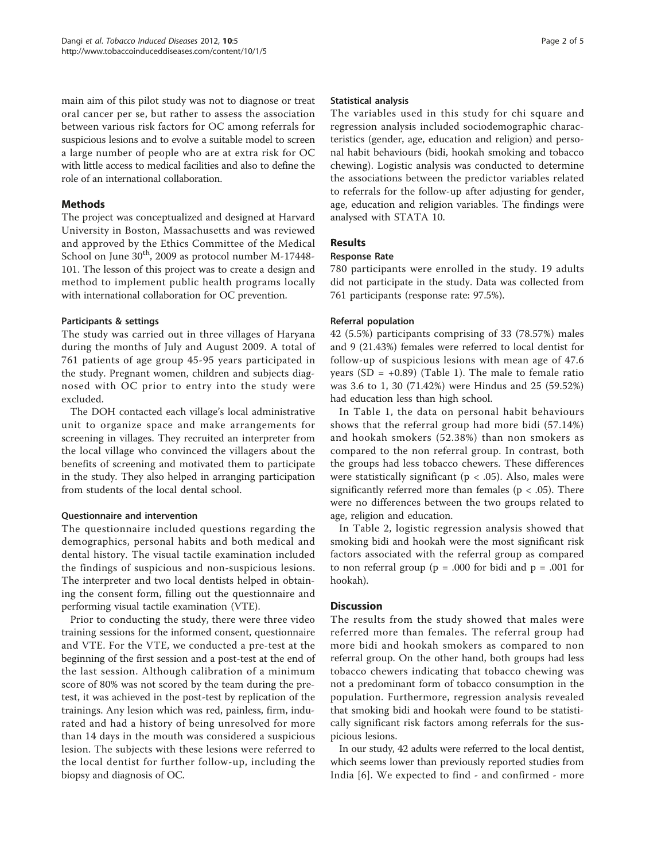main aim of this pilot study was not to diagnose or treat oral cancer per se, but rather to assess the association between various risk factors for OC among referrals for suspicious lesions and to evolve a suitable model to screen a large number of people who are at extra risk for OC with little access to medical facilities and also to define the role of an international collaboration.

#### Methods

The project was conceptualized and designed at Harvard University in Boston, Massachusetts and was reviewed and approved by the Ethics Committee of the Medical School on June  $30<sup>th</sup>$ , 2009 as protocol number M-17448-101. The lesson of this project was to create a design and method to implement public health programs locally with international collaboration for OC prevention.

## Participants & settings

The study was carried out in three villages of Haryana during the months of July and August 2009. A total of 761 patients of age group 45-95 years participated in the study. Pregnant women, children and subjects diagnosed with OC prior to entry into the study were excluded.

The DOH contacted each village's local administrative unit to organize space and make arrangements for screening in villages. They recruited an interpreter from the local village who convinced the villagers about the benefits of screening and motivated them to participate in the study. They also helped in arranging participation from students of the local dental school.

#### Questionnaire and intervention

The questionnaire included questions regarding the demographics, personal habits and both medical and dental history. The visual tactile examination included the findings of suspicious and non-suspicious lesions. The interpreter and two local dentists helped in obtaining the consent form, filling out the questionnaire and performing visual tactile examination (VTE).

Prior to conducting the study, there were three video training sessions for the informed consent, questionnaire and VTE. For the VTE, we conducted a pre-test at the beginning of the first session and a post-test at the end of the last session. Although calibration of a minimum score of 80% was not scored by the team during the pretest, it was achieved in the post-test by replication of the trainings. Any lesion which was red, painless, firm, indurated and had a history of being unresolved for more than 14 days in the mouth was considered a suspicious lesion. The subjects with these lesions were referred to the local dentist for further follow-up, including the biopsy and diagnosis of OC.

#### Statistical analysis

The variables used in this study for chi square and regression analysis included sociodemographic characteristics (gender, age, education and religion) and personal habit behaviours (bidi, hookah smoking and tobacco chewing). Logistic analysis was conducted to determine the associations between the predictor variables related to referrals for the follow-up after adjusting for gender, age, education and religion variables. The findings were analysed with STATA 10.

# Results

#### Response Rate

780 participants were enrolled in the study. 19 adults did not participate in the study. Data was collected from 761 participants (response rate: 97.5%).

#### Referral population

42 (5.5%) participants comprising of 33 (78.57%) males and 9 (21.43%) females were referred to local dentist for follow-up of suspicious lesions with mean age of 47.6 years (SD =  $+0.89$ ) (Table [1](#page-2-0)). The male to female ratio was 3.6 to 1, 30 (71.42%) were Hindus and 25 (59.52%) had education less than high school.

In Table [1](#page-2-0), the data on personal habit behaviours shows that the referral group had more bidi (57.14%) and hookah smokers (52.38%) than non smokers as compared to the non referral group. In contrast, both the groups had less tobacco chewers. These differences were statistically significant ( $p < .05$ ). Also, males were significantly referred more than females ( $p < .05$ ). There were no differences between the two groups related to age, religion and education.

In Table [2,](#page-3-0) logistic regression analysis showed that smoking bidi and hookah were the most significant risk factors associated with the referral group as compared to non referral group ( $p = .000$  for bidi and  $p = .001$  for hookah).

## **Discussion**

The results from the study showed that males were referred more than females. The referral group had more bidi and hookah smokers as compared to non referral group. On the other hand, both groups had less tobacco chewers indicating that tobacco chewing was not a predominant form of tobacco consumption in the population. Furthermore, regression analysis revealed that smoking bidi and hookah were found to be statistically significant risk factors among referrals for the suspicious lesions.

In our study, 42 adults were referred to the local dentist, which seems lower than previously reported studies from India [[6](#page-3-0)]. We expected to find - and confirmed - more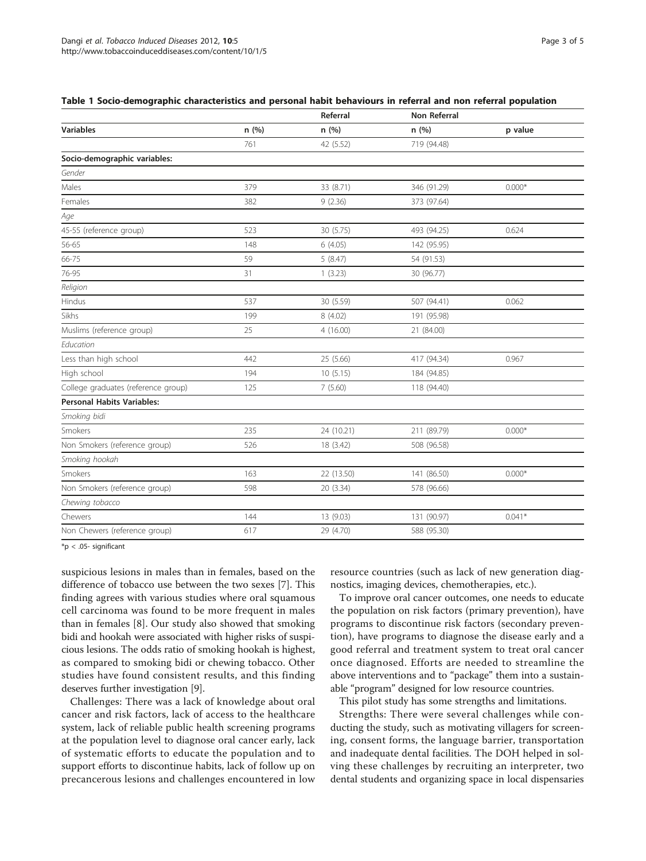<span id="page-2-0"></span>

|  | Table 1 Socio-demographic characteristics and personal habit behaviours in referral and non referral population |  |  |  |  |  |  |
|--|-----------------------------------------------------------------------------------------------------------------|--|--|--|--|--|--|
|--|-----------------------------------------------------------------------------------------------------------------|--|--|--|--|--|--|

|                                     |       | Referral   | Non Referral |          |
|-------------------------------------|-------|------------|--------------|----------|
| <b>Variables</b>                    | n (%) | n (%)      | n (%)        | p value  |
|                                     | 761   | 42 (5.52)  | 719 (94.48)  |          |
| Socio-demographic variables:        |       |            |              |          |
| Gender                              |       |            |              |          |
| Males                               | 379   | 33 (8.71)  | 346 (91.29)  | $0.000*$ |
| Females                             | 382   | 9(2.36)    | 373 (97.64)  |          |
| Age                                 |       |            |              |          |
| 45-55 (reference group)             | 523   | 30 (5.75)  | 493 (94.25)  | 0.624    |
| 56-65                               | 148   | 6(4.05)    | 142 (95.95)  |          |
| 66-75                               | 59    | 5(8.47)    | 54 (91.53)   |          |
| 76-95                               | 31    | 1(3.23)    | 30 (96.77)   |          |
| Religion                            |       |            |              |          |
| Hindus                              | 537   | 30 (5.59)  | 507 (94.41)  | 0.062    |
| Sikhs                               | 199   | 8 (4.02)   | 191 (95.98)  |          |
| Muslims (reference group)           | 25    | 4(16.00)   | 21 (84.00)   |          |
| Education                           |       |            |              |          |
| Less than high school               | 442   | 25 (5.66)  | 417 (94.34)  | 0.967    |
| High school                         | 194   | 10(5.15)   | 184 (94.85)  |          |
| College graduates (reference group) | 125   | 7(5.60)    | 118 (94.40)  |          |
| <b>Personal Habits Variables:</b>   |       |            |              |          |
| Smoking bidi                        |       |            |              |          |
| Smokers                             | 235   | 24 (10.21) | 211 (89.79)  | $0.000*$ |
| Non Smokers (reference group)       | 526   | 18 (3.42)  | 508 (96.58)  |          |
| Smoking hookah                      |       |            |              |          |
| Smokers                             | 163   | 22 (13.50) | 141 (86.50)  | $0.000*$ |
| Non Smokers (reference group)       | 598   | 20 (3.34)  | 578 (96.66)  |          |
| Chewing tobacco                     |       |            |              |          |
| Chewers                             | 144   | 13 (9.03)  | 131 (90.97)  | $0.041*$ |
| Non Chewers (reference group)       | 617   | 29 (4.70)  | 588 (95.30)  |          |

\*p < .05- significant

suspicious lesions in males than in females, based on the difference of tobacco use between the two sexes [\[7](#page-3-0)]. This finding agrees with various studies where oral squamous cell carcinoma was found to be more frequent in males than in females [[8\]](#page-3-0). Our study also showed that smoking bidi and hookah were associated with higher risks of suspicious lesions. The odds ratio of smoking hookah is highest, as compared to smoking bidi or chewing tobacco. Other studies have found consistent results, and this finding deserves further investigation [[9\]](#page-3-0).

Challenges: There was a lack of knowledge about oral cancer and risk factors, lack of access to the healthcare system, lack of reliable public health screening programs at the population level to diagnose oral cancer early, lack of systematic efforts to educate the population and to support efforts to discontinue habits, lack of follow up on precancerous lesions and challenges encountered in low resource countries (such as lack of new generation diagnostics, imaging devices, chemotherapies, etc.).

To improve oral cancer outcomes, one needs to educate the population on risk factors (primary prevention), have programs to discontinue risk factors (secondary prevention), have programs to diagnose the disease early and a good referral and treatment system to treat oral cancer once diagnosed. Efforts are needed to streamline the above interventions and to "package" them into a sustainable "program" designed for low resource countries.

This pilot study has some strengths and limitations.

Strengths: There were several challenges while conducting the study, such as motivating villagers for screening, consent forms, the language barrier, transportation and inadequate dental facilities. The DOH helped in solving these challenges by recruiting an interpreter, two dental students and organizing space in local dispensaries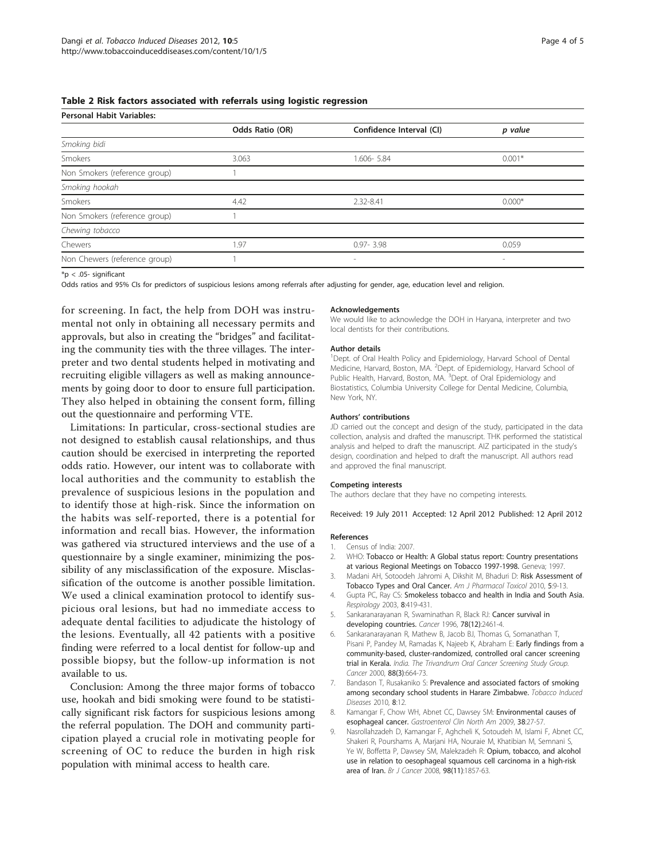#### <span id="page-3-0"></span>Table 2 Risk factors associated with referrals using logistic regression

Personal Habit Variables:

| Personal Habit Variables.     |                 |                          |                          |  |  |
|-------------------------------|-----------------|--------------------------|--------------------------|--|--|
|                               | Odds Ratio (OR) | Confidence Interval (CI) | p value                  |  |  |
| Smoking bidi                  |                 |                          |                          |  |  |
| Smokers                       | 3.063           | 1.606-5.84               | $0.001*$                 |  |  |
| Non Smokers (reference group) |                 |                          |                          |  |  |
| Smoking hookah                |                 |                          |                          |  |  |
| Smokers                       | 4.42            | 2.32-8.41                | $0.000*$                 |  |  |
| Non Smokers (reference group) |                 |                          |                          |  |  |
| Chewing tobacco               |                 |                          |                          |  |  |
| Chewers                       | 1.97            | $0.97 - 3.98$            | 0.059                    |  |  |
| Non Chewers (reference group) |                 | $\overline{\phantom{a}}$ | $\overline{\phantom{a}}$ |  |  |
|                               |                 |                          |                          |  |  |

 $*$ p < .05- significant

Odds ratios and 95% CIs for predictors of suspicious lesions among referrals after adjusting for gender, age, education level and religion.

for screening. In fact, the help from DOH was instrumental not only in obtaining all necessary permits and approvals, but also in creating the "bridges" and facilitating the community ties with the three villages. The interpreter and two dental students helped in motivating and recruiting eligible villagers as well as making announcements by going door to door to ensure full participation. They also helped in obtaining the consent form, filling out the questionnaire and performing VTE.

Limitations: In particular, cross-sectional studies are not designed to establish causal relationships, and thus caution should be exercised in interpreting the reported odds ratio. However, our intent was to collaborate with local authorities and the community to establish the prevalence of suspicious lesions in the population and to identify those at high-risk. Since the information on the habits was self-reported, there is a potential for information and recall bias. However, the information was gathered via structured interviews and the use of a questionnaire by a single examiner, minimizing the possibility of any misclassification of the exposure. Misclassification of the outcome is another possible limitation. We used a clinical examination protocol to identify suspicious oral lesions, but had no immediate access to adequate dental facilities to adjudicate the histology of the lesions. Eventually, all 42 patients with a positive finding were referred to a local dentist for follow-up and possible biopsy, but the follow-up information is not available to us.

Conclusion: Among the three major forms of tobacco use, hookah and bidi smoking were found to be statistically significant risk factors for suspicious lesions among the referral population. The DOH and community participation played a crucial role in motivating people for screening of OC to reduce the burden in high risk population with minimal access to health care.

#### Acknowledgements

We would like to acknowledge the DOH in Haryana, interpreter and two local dentists for their contributions.

#### Author details

<sup>1</sup>Dept. of Oral Health Policy and Epidemiology, Harvard School of Dental Medicine, Harvard, Boston, MA. <sup>2</sup>Dept. of Epidemiology, Harvard School of Public Health, Harvard, Boston, MA. <sup>3</sup>Dept. of Oral Epidemiology and Biostatistics, Columbia University College for Dental Medicine, Columbia, New York, NY.

#### Authors' contributions

JD carried out the concept and design of the study, participated in the data collection, analysis and drafted the manuscript. THK performed the statistical analysis and helped to draft the manuscript. AIZ participated in the study's design, coordination and helped to draft the manuscript. All authors read and approved the final manuscript.

#### Competing interests

The authors declare that they have no competing interests.

Received: 19 July 2011 Accepted: 12 April 2012 Published: 12 April 2012

#### References

- 1. Census of India: 2007.
- 2. WHO: Tobacco or Health: A Global status report: Country presentations at various Regional Meetings on Tobacco 1997-1998. Geneva; 1997.
- 3. Madani AH, Sotoodeh Jahromi A, Dikshit M, Bhaduri D: Risk Assessment of Tobacco Types and Oral Cancer. Am J Pharmacol Toxicol 2010, 5:9-13.
- 4. Gupta PC, Ray CS: [Smokeless tobacco and health in India and South Asia.](http://www.ncbi.nlm.nih.gov/pubmed/14708551?dopt=Abstract) Respirology 2003, 8:419-431.
- 5. Sankaranarayanan R, Swaminathan R, Black RJ: [Cancer survival in](http://www.ncbi.nlm.nih.gov/pubmed/8952551?dopt=Abstract) [developing countries.](http://www.ncbi.nlm.nih.gov/pubmed/8952551?dopt=Abstract) Cancer 1996, 78(12):2461-4.
- 6. Sankaranarayanan R, Mathew B, Jacob BJ, Thomas G, Somanathan T, Pisani P, Pandey M, Ramadas K, Najeeb K, Abraham E: Early findings from a community-based, cluster-randomized, controlled oral cancer screening trial in Kerala. India. The Trivandrum Oral Cancer Screening Study Group. Cancer 2000, 88(3):664-73.
- 7. Bandason T, Rusakaniko S: [Prevalence and associated factors of smoking](http://www.ncbi.nlm.nih.gov/pubmed/20979604?dopt=Abstract) [among secondary school students in Harare Zimbabwe.](http://www.ncbi.nlm.nih.gov/pubmed/20979604?dopt=Abstract) Tobacco Induced Diseases 2010, 8:12.
- 8. Kamangar F, Chow WH, Abnet CC, Dawsey SM: [Environmental causes of](http://www.ncbi.nlm.nih.gov/pubmed/19327566?dopt=Abstract) [esophageal cancer.](http://www.ncbi.nlm.nih.gov/pubmed/19327566?dopt=Abstract) Gastroenterol Clin North Am 2009, 38:27-57.
- 9. Nasrollahzadeh D, Kamangar F, Aghcheli K, Sotoudeh M, Islami F, Abnet CC, Shakeri R, Pourshams A, Marjani HA, Nouraie M, Khatibian M, Semnani S, Ye W, Boffetta P, Dawsey SM, Malekzadeh R: [Opium, tobacco, and alcohol](http://www.ncbi.nlm.nih.gov/pubmed/18475303?dopt=Abstract) [use in relation to oesophageal squamous cell carcinoma in a high-risk](http://www.ncbi.nlm.nih.gov/pubmed/18475303?dopt=Abstract) [area of Iran.](http://www.ncbi.nlm.nih.gov/pubmed/18475303?dopt=Abstract) Br J Cancer 2008, 98(11):1857-63.